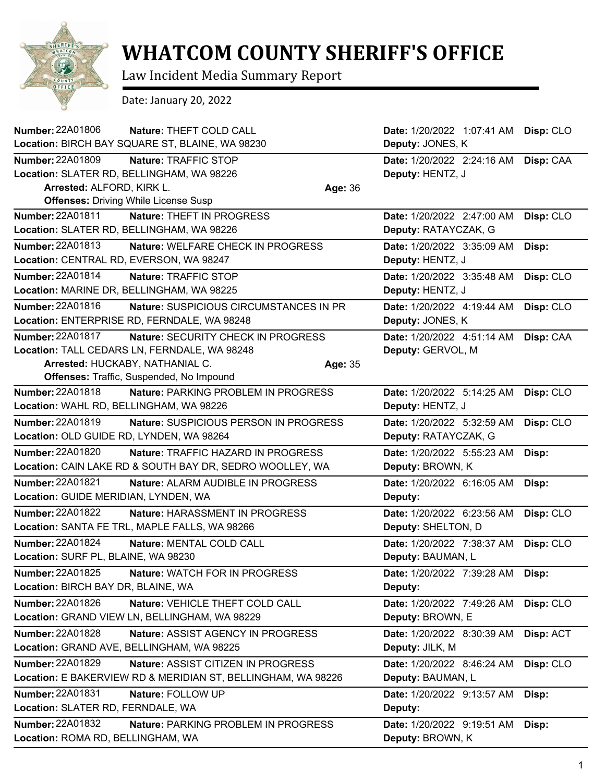

## **WHATCOM COUNTY SHERIFF'S OFFICE**

Law Incident Media Summary Report

Date: January 20, 2022

| <b>Number: 22A01806</b><br>Nature: THEFT COLD CALL            |         | Date: 1/20/2022 1:07:41 AM | Disp: CLO |
|---------------------------------------------------------------|---------|----------------------------|-----------|
| Location: BIRCH BAY SQUARE ST, BLAINE, WA 98230               |         | Deputy: JONES, K           |           |
| Number: 22A01809<br>Nature: TRAFFIC STOP                      |         | Date: 1/20/2022 2:24:16 AM | Disp: CAA |
| Location: SLATER RD, BELLINGHAM, WA 98226                     |         | Deputy: HENTZ, J           |           |
| Arrested: ALFORD, KIRK L.                                     | Age: 36 |                            |           |
| <b>Offenses: Driving While License Susp</b>                   |         |                            |           |
| <b>Number: 22A01811</b><br>Nature: THEFT IN PROGRESS          |         | Date: 1/20/2022 2:47:00 AM | Disp: CLO |
| Location: SLATER RD, BELLINGHAM, WA 98226                     |         | Deputy: RATAYCZAK, G       |           |
| Number: 22A01813<br>Nature: WELFARE CHECK IN PROGRESS         |         | Date: 1/20/2022 3:35:09 AM | Disp:     |
| Location: CENTRAL RD, EVERSON, WA 98247                       |         | Deputy: HENTZ, J           |           |
| Number: 22A01814<br>Nature: TRAFFIC STOP                      |         | Date: 1/20/2022 3:35:48 AM | Disp: CLO |
| Location: MARINE DR, BELLINGHAM, WA 98225                     |         | Deputy: HENTZ, J           |           |
| Number: 22A01816<br>Nature: SUSPICIOUS CIRCUMSTANCES IN PR    |         | Date: 1/20/2022 4:19:44 AM | Disp: CLO |
| Location: ENTERPRISE RD, FERNDALE, WA 98248                   |         | Deputy: JONES, K           |           |
| <b>Number: 22A01817</b><br>Nature: SECURITY CHECK IN PROGRESS |         | Date: 1/20/2022 4:51:14 AM | Disp: CAA |
| Location: TALL CEDARS LN, FERNDALE, WA 98248                  |         | Deputy: GERVOL, M          |           |
| Arrested: HUCKABY, NATHANIAL C.                               | Age: 35 |                            |           |
| Offenses: Traffic, Suspended, No Impound                      |         |                            |           |
| Number: 22A01818<br>Nature: PARKING PROBLEM IN PROGRESS       |         | Date: 1/20/2022 5:14:25 AM | Disp: CLO |
| Location: WAHL RD, BELLINGHAM, WA 98226                       |         | Deputy: HENTZ, J           |           |
| Number: 22A01819<br>Nature: SUSPICIOUS PERSON IN PROGRESS     |         | Date: 1/20/2022 5:32:59 AM | Disp: CLO |
| Location: OLD GUIDE RD, LYNDEN, WA 98264                      |         | Deputy: RATAYCZAK, G       |           |
| <b>Number: 22A01820</b><br>Nature: TRAFFIC HAZARD IN PROGRESS |         | Date: 1/20/2022 5:55:23 AM | Disp:     |
| Location: CAIN LAKE RD & SOUTH BAY DR, SEDRO WOOLLEY, WA      |         | Deputy: BROWN, K           |           |
| Number: 22A01821<br>Nature: ALARM AUDIBLE IN PROGRESS         |         | Date: 1/20/2022 6:16:05 AM | Disp:     |
| Location: GUIDE MERIDIAN, LYNDEN, WA                          |         | Deputy:                    |           |
| Number: 22A01822<br>Nature: HARASSMENT IN PROGRESS            |         | Date: 1/20/2022 6:23:56 AM | Disp: CLO |
| Location: SANTA FE TRL, MAPLE FALLS, WA 98266                 |         | Deputy: SHELTON, D         |           |
| <b>Number: 22A01824</b><br>Nature: MENTAL COLD CALL           |         | Date: 1/20/2022 7:38:37 AM | Disp: CLO |
| Location: SURF PL, BLAINE, WA 98230                           |         | Deputy: BAUMAN, L          |           |
| Number: 22A01825<br><b>Nature: WATCH FOR IN PROGRESS</b>      |         | Date: 1/20/2022 7:39:28 AM | Disp:     |
| Location: BIRCH BAY DR, BLAINE, WA                            |         | Deputy:                    |           |
| Number: 22A01826<br>Nature: VEHICLE THEFT COLD CALL           |         | Date: 1/20/2022 7:49:26 AM | Disp: CLO |
| Location: GRAND VIEW LN, BELLINGHAM, WA 98229                 |         | Deputy: BROWN, E           |           |
| Number: 22A01828<br>Nature: ASSIST AGENCY IN PROGRESS         |         | Date: 1/20/2022 8:30:39 AM | Disp: ACT |
| Location: GRAND AVE, BELLINGHAM, WA 98225                     |         | Deputy: JILK, M            |           |
| <b>Number: 22A01829</b><br>Nature: ASSIST CITIZEN IN PROGRESS |         | Date: 1/20/2022 8:46:24 AM | Disp: CLO |
| Location: E BAKERVIEW RD & MERIDIAN ST, BELLINGHAM, WA 98226  |         | Deputy: BAUMAN, L          |           |
| Number: 22A01831<br>Nature: FOLLOW UP                         |         | Date: 1/20/2022 9:13:57 AM | Disp:     |
| Location: SLATER RD, FERNDALE, WA                             |         | Deputy:                    |           |
| Number: 22A01832<br>Nature: PARKING PROBLEM IN PROGRESS       |         | Date: 1/20/2022 9:19:51 AM | Disp:     |
| Location: ROMA RD, BELLINGHAM, WA                             |         | Deputy: BROWN, K           |           |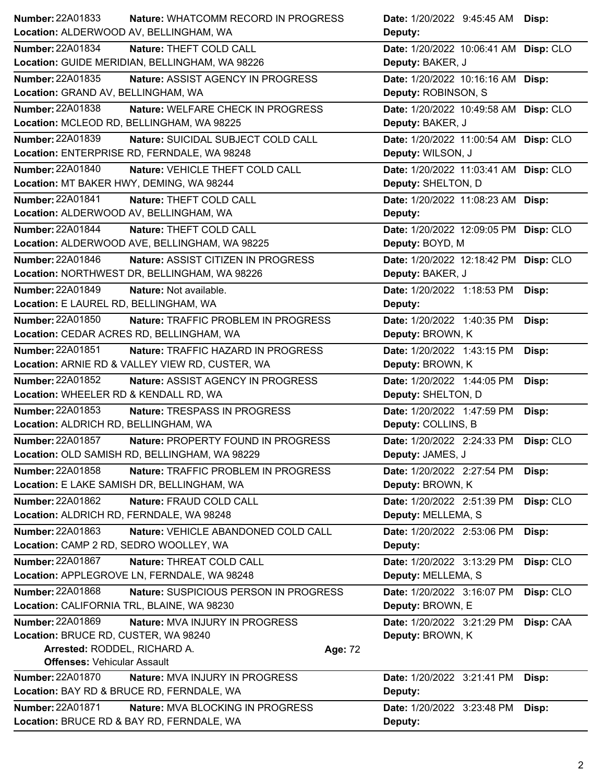| Number: 22A01833                           | Nature: WHATCOMM RECORD IN PROGRESS             |         | Date: 1/20/2022 9:45:45 AM Disp:      |           |
|--------------------------------------------|-------------------------------------------------|---------|---------------------------------------|-----------|
| Location: ALDERWOOD AV, BELLINGHAM, WA     |                                                 |         | Deputy:                               |           |
| <b>Number: 22A01834</b>                    | Nature: THEFT COLD CALL                         |         | Date: 1/20/2022 10:06:41 AM Disp: CLO |           |
|                                            | Location: GUIDE MERIDIAN, BELLINGHAM, WA 98226  |         | Deputy: BAKER, J                      |           |
| Number: 22A01835                           | Nature: ASSIST AGENCY IN PROGRESS               |         | Date: 1/20/2022 10:16:16 AM Disp:     |           |
| Location: GRAND AV, BELLINGHAM, WA         |                                                 |         | Deputy: ROBINSON, S                   |           |
| Number: 22A01838                           | Nature: WELFARE CHECK IN PROGRESS               |         | Date: 1/20/2022 10:49:58 AM Disp: CLO |           |
| Location: MCLEOD RD, BELLINGHAM, WA 98225  |                                                 |         | Deputy: BAKER, J                      |           |
| <b>Number: 22A01839</b>                    | Nature: SUICIDAL SUBJECT COLD CALL              |         | Date: 1/20/2022 11:00:54 AM Disp: CLO |           |
|                                            | Location: ENTERPRISE RD, FERNDALE, WA 98248     |         | Deputy: WILSON, J                     |           |
| <b>Number: 22A01840</b>                    | Nature: VEHICLE THEFT COLD CALL                 |         | Date: 1/20/2022 11:03:41 AM Disp: CLO |           |
| Location: MT BAKER HWY, DEMING, WA 98244   |                                                 |         | Deputy: SHELTON, D                    |           |
| Number: 22A01841                           | Nature: THEFT COLD CALL                         |         | Date: 1/20/2022 11:08:23 AM Disp:     |           |
| Location: ALDERWOOD AV, BELLINGHAM, WA     |                                                 |         | Deputy:                               |           |
| Number: 22A01844                           | Nature: THEFT COLD CALL                         |         | Date: 1/20/2022 12:09:05 PM Disp: CLO |           |
|                                            | Location: ALDERWOOD AVE, BELLINGHAM, WA 98225   |         | Deputy: BOYD, M                       |           |
| Number: 22A01846                           | Nature: ASSIST CITIZEN IN PROGRESS              |         | Date: 1/20/2022 12:18:42 PM Disp: CLO |           |
|                                            | Location: NORTHWEST DR, BELLINGHAM, WA 98226    |         | Deputy: BAKER, J                      |           |
| Number: 22A01849                           | Nature: Not available.                          |         | Date: 1/20/2022 1:18:53 PM            | Disp:     |
| Location: E LAUREL RD, BELLINGHAM, WA      |                                                 |         | Deputy:                               |           |
| Number: 22A01850                           | <b>Nature: TRAFFIC PROBLEM IN PROGRESS</b>      |         | Date: 1/20/2022 1:40:35 PM            | Disp:     |
| Location: CEDAR ACRES RD, BELLINGHAM, WA   |                                                 |         | Deputy: BROWN, K                      |           |
| Number: 22A01851                           | Nature: TRAFFIC HAZARD IN PROGRESS              |         | Date: 1/20/2022 1:43:15 PM            | Disp:     |
|                                            | Location: ARNIE RD & VALLEY VIEW RD, CUSTER, WA |         | Deputy: BROWN, K                      |           |
| Number: 22A01852                           | Nature: ASSIST AGENCY IN PROGRESS               |         | Date: 1/20/2022 1:44:05 PM            | Disp:     |
| Location: WHEELER RD & KENDALL RD, WA      |                                                 |         | Deputy: SHELTON, D                    |           |
| Number: 22A01853                           | Nature: TRESPASS IN PROGRESS                    |         | Date: 1/20/2022 1:47:59 PM            | Disp:     |
| Location: ALDRICH RD, BELLINGHAM, WA       |                                                 |         | Deputy: COLLINS, B                    |           |
| <b>Number: 22A01857</b>                    | Nature: PROPERTY FOUND IN PROGRESS              |         | Date: 1/20/2022 2:24:33 PM            | Disp: CLO |
|                                            | Location: OLD SAMISH RD, BELLINGHAM, WA 98229   |         | Deputy: JAMES, J                      |           |
| Number: 22A01858                           | Nature: TRAFFIC PROBLEM IN PROGRESS             |         | Date: 1/20/2022 2:27:54 PM            | Disp:     |
|                                            | Location: E LAKE SAMISH DR, BELLINGHAM, WA      |         | Deputy: BROWN, K                      |           |
| Number: 22A01862                           | Nature: FRAUD COLD CALL                         |         | Date: 1/20/2022 2:51:39 PM            | Disp: CLO |
| Location: ALDRICH RD, FERNDALE, WA 98248   |                                                 |         | Deputy: MELLEMA, S                    |           |
| Number: 22A01863                           | Nature: VEHICLE ABANDONED COLD CALL             |         | Date: 1/20/2022 2:53:06 PM            | Disp:     |
| Location: CAMP 2 RD, SEDRO WOOLLEY, WA     |                                                 |         | Deputy:                               |           |
| <b>Number: 22A01867</b>                    | Nature: THREAT COLD CALL                        |         | Date: 1/20/2022 3:13:29 PM            | Disp: CLO |
|                                            | Location: APPLEGROVE LN, FERNDALE, WA 98248     |         | Deputy: MELLEMA, S                    |           |
| Number: 22A01868                           | Nature: SUSPICIOUS PERSON IN PROGRESS           |         | Date: 1/20/2022 3:16:07 PM            | Disp: CLO |
| Location: CALIFORNIA TRL, BLAINE, WA 98230 |                                                 |         | Deputy: BROWN, E                      |           |
| Number: 22A01869                           | Nature: MVA INJURY IN PROGRESS                  |         | Date: 1/20/2022 3:21:29 PM            | Disp: CAA |
| Location: BRUCE RD, CUSTER, WA 98240       |                                                 |         | Deputy: BROWN, K                      |           |
| Arrested: RODDEL, RICHARD A.               |                                                 | Age: 72 |                                       |           |
| <b>Offenses: Vehicular Assault</b>         |                                                 |         |                                       |           |
| Number: 22A01870                           | Nature: MVA INJURY IN PROGRESS                  |         | Date: 1/20/2022 3:21:41 PM            | Disp:     |
| Location: BAY RD & BRUCE RD, FERNDALE, WA  |                                                 |         | Deputy:                               |           |
| <b>Number: 22A01871</b>                    | Nature: MVA BLOCKING IN PROGRESS                |         | Date: 1/20/2022 3:23:48 PM            | Disp:     |
|                                            | Location: BRUCE RD & BAY RD, FERNDALE, WA       |         | Deputy:                               |           |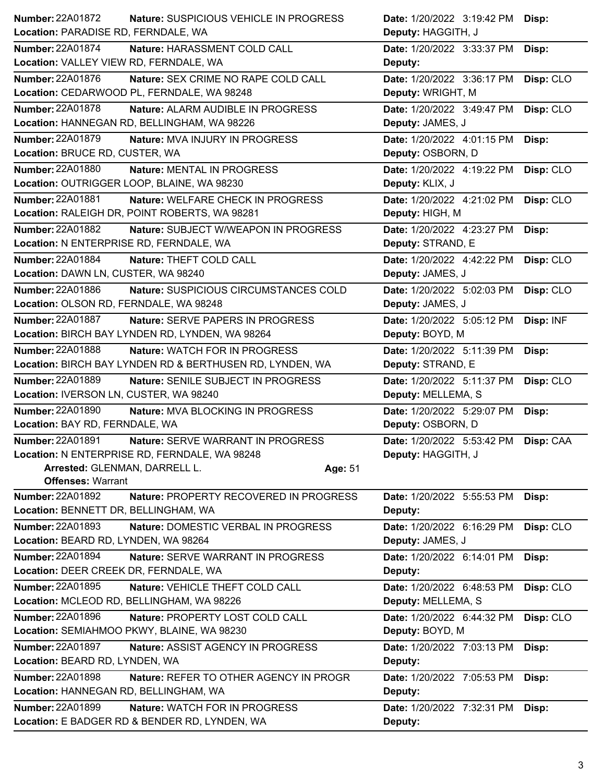| <b>Number: 22A01872</b>                 | Nature: SUSPICIOUS VEHICLE IN PROGRESS                   | Date: 1/20/2022 3:19:42 PM<br>Disp:     |
|-----------------------------------------|----------------------------------------------------------|-----------------------------------------|
| Location: PARADISE RD, FERNDALE, WA     |                                                          | Deputy: HAGGITH, J                      |
| <b>Number: 22A01874</b>                 | Nature: HARASSMENT COLD CALL                             | Date: 1/20/2022 3:33:37 PM<br>Disp:     |
| Location: VALLEY VIEW RD, FERNDALE, WA  |                                                          | Deputy:                                 |
| <b>Number: 22A01876</b>                 | Nature: SEX CRIME NO RAPE COLD CALL                      | Date: 1/20/2022 3:36:17 PM<br>Disp: CLO |
|                                         | Location: CEDARWOOD PL, FERNDALE, WA 98248               | Deputy: WRIGHT, M                       |
| Number: 22A01878                        | Nature: ALARM AUDIBLE IN PROGRESS                        | Date: 1/20/2022 3:49:47 PM<br>Disp: CLO |
|                                         | Location: HANNEGAN RD, BELLINGHAM, WA 98226              | Deputy: JAMES, J                        |
| Number: 22A01879                        | <b>Nature: MVA INJURY IN PROGRESS</b>                    | Date: 1/20/2022 4:01:15 PM<br>Disp:     |
| Location: BRUCE RD, CUSTER, WA          |                                                          | Deputy: OSBORN, D                       |
| Number: 22A01880                        | Nature: MENTAL IN PROGRESS                               | Date: 1/20/2022 4:19:22 PM<br>Disp: CLO |
|                                         | Location: OUTRIGGER LOOP, BLAINE, WA 98230               | Deputy: KLIX, J                         |
| <b>Number: 22A01881</b>                 | Nature: WELFARE CHECK IN PROGRESS                        | Date: 1/20/2022 4:21:02 PM<br>Disp: CLO |
|                                         | Location: RALEIGH DR, POINT ROBERTS, WA 98281            | Deputy: HIGH, M                         |
| Number: 22A01882                        | Nature: SUBJECT W/WEAPON IN PROGRESS                     | Date: 1/20/2022 4:23:27 PM<br>Disp:     |
| Location: N ENTERPRISE RD, FERNDALE, WA |                                                          | Deputy: STRAND, E                       |
| <b>Number: 22A01884</b>                 | Nature: THEFT COLD CALL                                  | Date: 1/20/2022 4:42:22 PM<br>Disp: CLO |
| Location: DAWN LN, CUSTER, WA 98240     |                                                          | Deputy: JAMES, J                        |
| Number: 22A01886                        | Nature: SUSPICIOUS CIRCUMSTANCES COLD                    | Disp: CLO<br>Date: 1/20/2022 5:02:03 PM |
| Location: OLSON RD, FERNDALE, WA 98248  |                                                          | Deputy: JAMES, J                        |
| <b>Number: 22A01887</b>                 | <b>Nature: SERVE PAPERS IN PROGRESS</b>                  | Disp: INF<br>Date: 1/20/2022 5:05:12 PM |
|                                         | Location: BIRCH BAY LYNDEN RD, LYNDEN, WA 98264          | Deputy: BOYD, M                         |
| Number: 22A01888                        | <b>Nature: WATCH FOR IN PROGRESS</b>                     | Date: 1/20/2022 5:11:39 PM<br>Disp:     |
|                                         | Location: BIRCH BAY LYNDEN RD & BERTHUSEN RD, LYNDEN, WA | Deputy: STRAND, E                       |
| <b>Number: 22A01889</b>                 | Nature: SENILE SUBJECT IN PROGRESS                       | Date: 1/20/2022 5:11:37 PM<br>Disp: CLO |
| Location: IVERSON LN, CUSTER, WA 98240  |                                                          | Deputy: MELLEMA, S                      |
| <b>Number: 22A01890</b>                 | Nature: MVA BLOCKING IN PROGRESS                         | Date: 1/20/2022 5:29:07 PM<br>Disp:     |
| Location: BAY RD, FERNDALE, WA          |                                                          | Deputy: OSBORN, D                       |
| Number: 22A01891                        | Nature: SERVE WARRANT IN PROGRESS                        | Date: 1/20/2022 5:53:42 PM Disp: CAA    |
|                                         | Location: N ENTERPRISE RD, FERNDALE, WA 98248            | Deputy: HAGGITH, J                      |
| Arrested: GLENMAN, DARRELL L.           |                                                          | Age: 51                                 |
| <b>Offenses: Warrant</b>                |                                                          |                                         |
| <b>Number: 22A01892</b>                 | Nature: PROPERTY RECOVERED IN PROGRESS                   | Date: 1/20/2022 5:55:53 PM<br>Disp:     |
| Location: BENNETT DR, BELLINGHAM, WA    |                                                          | Deputy:                                 |
| Number: 22A01893                        | Nature: DOMESTIC VERBAL IN PROGRESS                      | Disp: CLO<br>Date: 1/20/2022 6:16:29 PM |
| Location: BEARD RD, LYNDEN, WA 98264    |                                                          | Deputy: JAMES, J                        |
| Number: 22A01894                        | Nature: SERVE WARRANT IN PROGRESS                        | Date: 1/20/2022 6:14:01 PM<br>Disp:     |
| Location: DEER CREEK DR, FERNDALE, WA   |                                                          | Deputy:                                 |
| Number: 22A01895                        | Nature: VEHICLE THEFT COLD CALL                          | Date: 1/20/2022 6:48:53 PM<br>Disp: CLO |
|                                         | Location: MCLEOD RD, BELLINGHAM, WA 98226                | Deputy: MELLEMA, S                      |
| Number: 22A01896                        | Nature: PROPERTY LOST COLD CALL                          | Date: 1/20/2022 6:44:32 PM<br>Disp: CLO |
|                                         | Location: SEMIAHMOO PKWY, BLAINE, WA 98230               | Deputy: BOYD, M                         |
| <b>Number: 22A01897</b>                 | Nature: ASSIST AGENCY IN PROGRESS                        | Date: 1/20/2022 7:03:13 PM<br>Disp:     |
| Location: BEARD RD, LYNDEN, WA          |                                                          | Deputy:                                 |
|                                         |                                                          |                                         |
| Number: 22A01898                        | Nature: REFER TO OTHER AGENCY IN PROGR                   | Date: 1/20/2022 7:05:53 PM<br>Disp:     |
| Location: HANNEGAN RD, BELLINGHAM, WA   |                                                          | Deputy:                                 |
| Number: 22A01899                        | Nature: WATCH FOR IN PROGRESS                            | Date: 1/20/2022 7:32:31 PM<br>Disp:     |